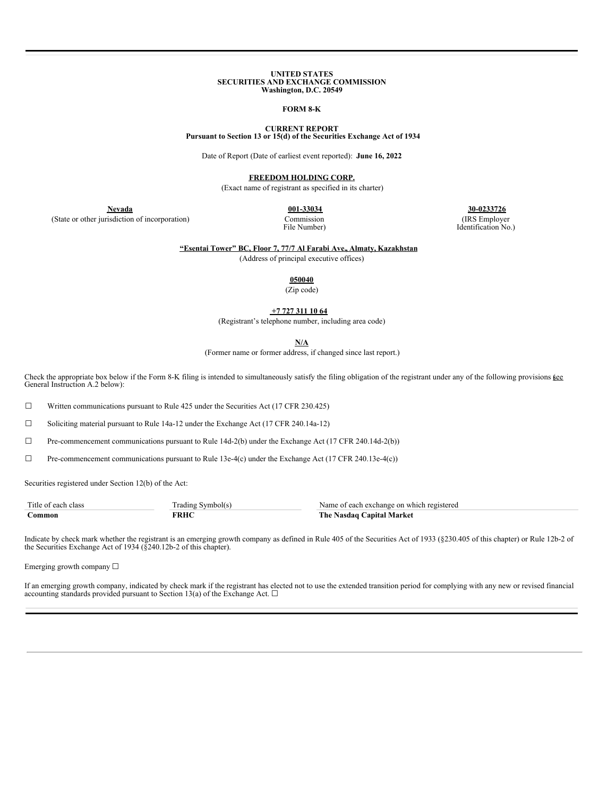#### **UNITED STATES SECURITIES AND EXCHANGE COMMISSION Washington, D.C. 20549**

#### **FORM 8-K**

#### **CURRENT REPORT Pursuant to Section 13 or 15(d) of the Securities Exchange Act of 1934**

Date of Report (Date of earliest event reported): **June 16, 2022**

**FREEDOM HOLDING CORP.**

(Exact name of registrant as specified in its charter)

(State or other jurisdiction of incorporation) Commission

File Number)

**Nevada 001-33034 30-0233726** (IRS Employer

Identification No.)

**"Esentai Tower" BC, Floor 7, 77/7 Al Farabi Ave., Almaty, Kazakhstan**

(Address of principal executive offices)

**050040**

(Zip code)

**+7 727 311 10 64**

(Registrant's telephone number, including area code)

**N/A**

(Former name or former address, if changed since last report.)

Check the appropriate box below if the Form 8-K filing is intended to simultaneously satisfy the filing obligation of the registrant under any of the following provisions *kee* General Instruction A.2 below):

 $\Box$  Written communications pursuant to Rule 425 under the Securities Act (17 CFR 230.425)

☐ Soliciting material pursuant to Rule 14a-12 under the Exchange Act (17 CFR 240.14a-12)

 $\Box$  Pre-commencement communications pursuant to Rule 14d-2(b) under the Exchange Act (17 CFR 240.14d-2(b))

☐ Pre-commencement communications pursuant to Rule 13e-4(c) under the Exchange Act (17 CFR 240.13e-4(c))

Securities registered under Section 12(b) of the Act:

| Title of each class | $\sim$<br>Symbol(s)<br>radıng | Name of each exchange on which registered |
|---------------------|-------------------------------|-------------------------------------------|
| $_{\rm{Common}}$    | FRHC                          | The Nasdaq C.<br><b>Capital Market</b>    |

Indicate by check mark whether the registrant is an emerging growth company as defined in Rule 405 of the Securities Act of 1933 (§230.405 of this chapter) or Rule 12b-2 of the Securities Exchange Act of 1934 (§240.12b-2 o

Emerging growth company ☐

If an emerging growth company, indicated by check mark if the registrant has elected not to use the extended transition period for complying with any new or revised financial accounting standards provided pursuant to Section 13(a) of the Exchange Act.  $\Box$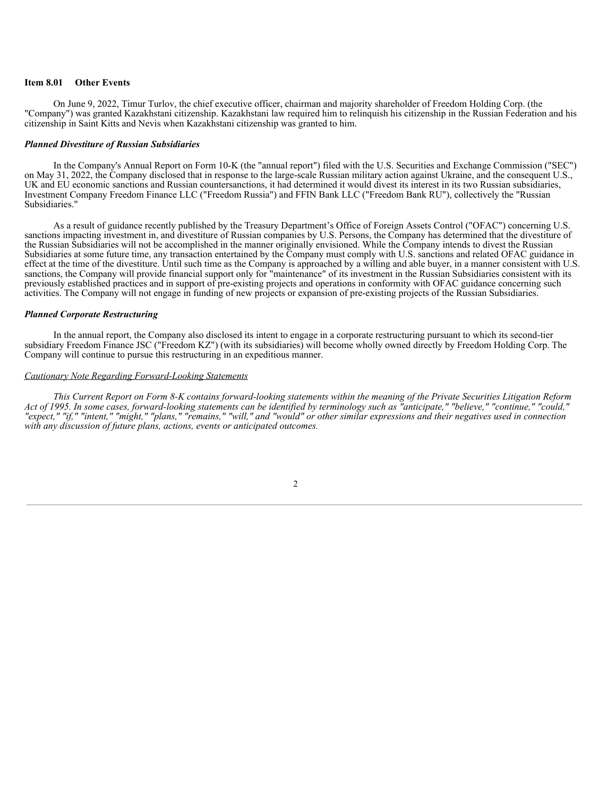### **Item 8.01 Other Events**

On June 9, 2022, Timur Turlov, the chief executive officer, chairman and majority shareholder of Freedom Holding Corp. (the "Company") was granted Kazakhstani citizenship. Kazakhstani law required him to relinquish his citizenship in the Russian Federation and his citizenship in Saint Kitts and Nevis when Kazakhstani citizenship was granted to him.

#### *Planned Divestiture of Russian Subsidiaries*

In the Company's Annual Report on Form 10-K (the "annual report") filed with the U.S. Securities and Exchange Commission ("SEC") on May 31, 2022, the Company disclosed that in response to the large-scale Russian military action against Ukraine, and the consequent U.S., UK and EU economic sanctions and Russian countersanctions, it had determined it would divest its interest in its two Russian subsidiaries, Investment Company Freedom Finance LLC ("Freedom Russia") and FFIN Bank LLC ("Freedom Bank RU"), collectively the "Russian Subsidiaries."

As a result of guidance recently published by the Treasury Department's Office of Foreign Assets Control ("OFAC") concerning U.S. sanctions impacting investment in, and divestiture of Russian companies by U.S. Persons, the Company has determined that the divestiture of the Russian Subsidiaries will not be accomplished in the manner originally envisioned. While the Company intends to divest the Russian Subsidiaries at some future time, any transaction entertained by the Company must comply with U.S. sanctions and related OFAC guidance in effect at the time of the divestiture. Until such time as the Company is approached by a willing and able buyer, in a manner consistent with U.S. sanctions, the Company will provide financial support only for "maintenance" of its investment in the Russian Subsidiaries consistent with its previously established practices and in support of pre-existing projects and operations in conformity with OFAC guidance concerning such activities. The Company will not engage in funding of new projects or expansion of pre-existing projects of the Russian Subsidiaries.

### *Planned Corporate Restructuring*

In the annual report, the Company also disclosed its intent to engage in a corporate restructuring pursuant to which its second-tier subsidiary Freedom Finance JSC ("Freedom KZ") (with its subsidiaries) will become wholly owned directly by Freedom Holding Corp. The Company will continue to pursue this restructuring in an expeditious manner.

### *Cautionary Note Regarding Forward-Looking Statements*

This Current Report on Form 8-K contains forward-looking statements within the meaning of the Private Securities Litigation Reform "Act of 1995. In some cases, forward-looking statements can be identified by terminology such as "anticipate," "believe," "continue," "could," "expect," "if," "intent," "might," "plans," "remains," "will," and "would" or other similar expressions and their negatives used in connection *with any discussion of future plans, actions, events or anticipated outcomes.*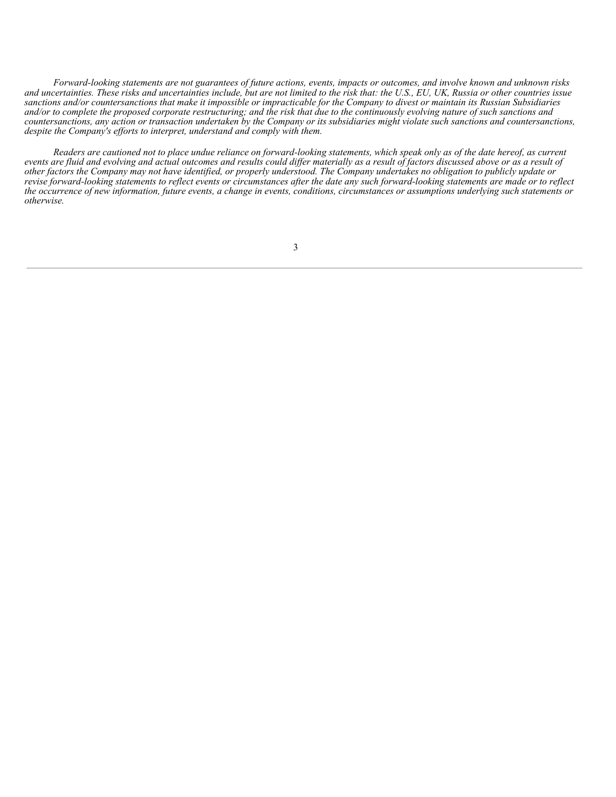Forward-looking statements are not guarantees of future actions, events, impacts or outcomes, and involve known and unknown risks and uncertainties. These risks and uncertainties include, but are not limited to the risk that: the U.S., EU, UK, Russia or other countries issue sanctions and/or countersanctions that make it impossible or impracticable for the Company to divest or maintain its Russian Subsidiaries and/or to complete the proposed corporate restructuring; and the risk that due to the continuously evolving nature of such sanctions and countersanctions, any action or transaction undertaken by the Company or its subsidiaries might violate such sanctions and countersanctions, *despite the Company's ef orts to interpret, understand and comply with them.*

Readers are cautioned not to place undue reliance on forward-looking statements, which speak only as of the date hereof, as current events are fluid and evolving and actual outcomes and results could differ materially as a result of factors discussed above or as a result of other factors the Company may not have identified, or properly understood. The Company undertakes no obligation to publicly update or revise forward-looking statements to reflect events or circumstances after the date any such forward-looking statements are made or to reflect the occurrence of new information, future events, a change in events, conditions, circumstances or assumptions underlying such statements or *otherwise.*

3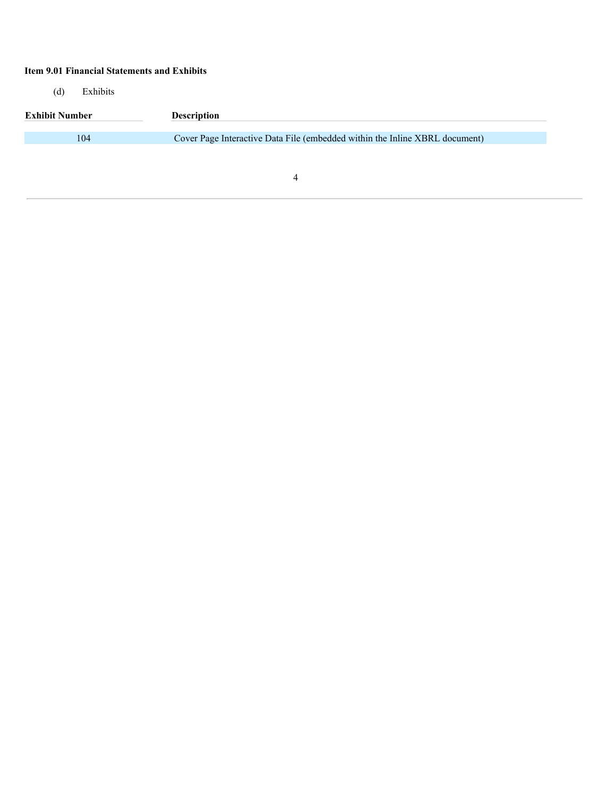# **Item 9.01 Financial Statements and Exhibits**

(d) Exhibits

| <b>Exhibit Number</b> | <b>Description</b>                                                          |
|-----------------------|-----------------------------------------------------------------------------|
|                       |                                                                             |
| 104                   | Cover Page Interactive Data File (embedded within the Inline XBRL document) |
|                       |                                                                             |